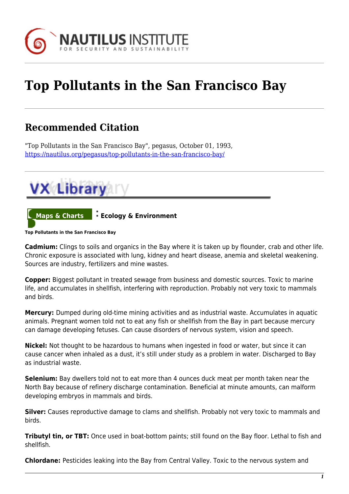

## **Top Pollutants in the San Francisco Bay**

## **Recommended Citation**

"Top Pollutants in the San Francisco Bay", pegasus, October 01, 1993, <https://nautilus.org/pegasus/top-pollutants-in-the-san-francisco-bay/>



**Top Pollutants in the San Francisco Bay**

**Cadmium:** Clings to soils and organics in the Bay where it is taken up by flounder, crab and other life. Chronic exposure is associated with lung, kidney and heart disease, anemia and skeletal weakening. Sources are industry, fertilizers and mine wastes.

**Copper:** Biggest pollutant in treated sewage from business and domestic sources. Toxic to marine life, and accumulates in shellfish, interfering with reproduction. Probably not very toxic to mammals and birds.

**Mercury:** Dumped during old-time mining activities and as industrial waste. Accumulates in aquatic animals. Pregnant women told not to eat any fish or shellfish from the Bay in part because mercury can damage developing fetuses. Can cause disorders of nervous system, vision and speech.

**Nickel:** Not thought to be hazardous to humans when ingested in food or water, but since it can cause cancer when inhaled as a dust, it's still under study as a problem in water. Discharged to Bay as industrial waste.

**Selenium:** Bay dwellers told not to eat more than 4 ounces duck meat per month taken near the North Bay because of refinery discharge contamination. Beneficial at minute amounts, can malform developing embryos in mammals and birds.

**Silver:** Causes reproductive damage to clams and shellfish. Probably not very toxic to mammals and birds.

**Tributyl tin, or TBT:** Once used in boat-bottom paints; still found on the Bay floor. Lethal to fish and shellfish.

**Chlordane:** Pesticides leaking into the Bay from Central Valley. Toxic to the nervous system and